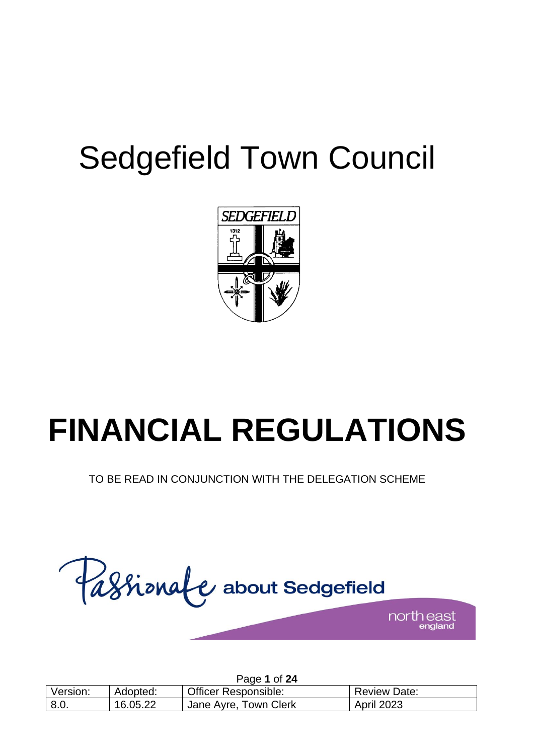## Sedgefield Town Council



# **FINANCIAL REGULATIONS**

TO BE READ IN CONJUNCTION WITH THE DELEGATION SCHEME



|          |          | Page 1 of 24                |                     |
|----------|----------|-----------------------------|---------------------|
| Version: | Adopted: | <b>Officer Responsible:</b> | <b>Review Date:</b> |
| 8.0.     | 16.05.22 | Jane Ayre, Town Clerk       | <b>April 2023</b>   |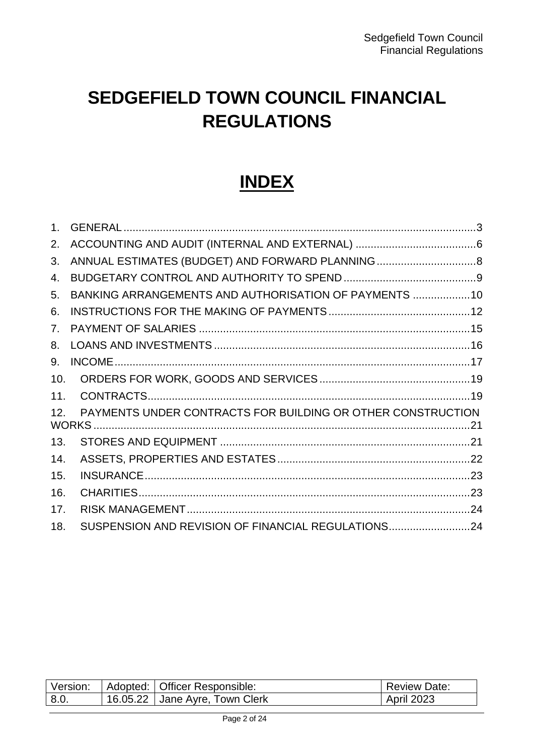## **SEDGEFIELD TOWN COUNCIL FINANCIAL REGULATIONS**

### **INDEX**

| 2.             |                                                             |  |
|----------------|-------------------------------------------------------------|--|
| 3.             |                                                             |  |
| 4.             |                                                             |  |
| 5.             | BANKING ARRANGEMENTS AND AUTHORISATION OF PAYMENTS  10      |  |
| 6.             |                                                             |  |
| 7 <sub>1</sub> |                                                             |  |
| 8.             |                                                             |  |
| 9.             |                                                             |  |
| 10.            |                                                             |  |
| 11.            |                                                             |  |
| 12.            | PAYMENTS UNDER CONTRACTS FOR BUILDING OR OTHER CONSTRUCTION |  |
| 13.            |                                                             |  |
| 14.            |                                                             |  |
| 15.            |                                                             |  |
| 16.            |                                                             |  |
| 17.            |                                                             |  |
| 18.            | SUSPENSION AND REVISION OF FINANCIAL REGULATIONS24          |  |

| Version: | Adopted: Officer Responsible:  | <b>Review Date:</b> |
|----------|--------------------------------|---------------------|
| 8.0      | 16.05.22 Jane Ayre, Town Clerk | <b>April 2023</b>   |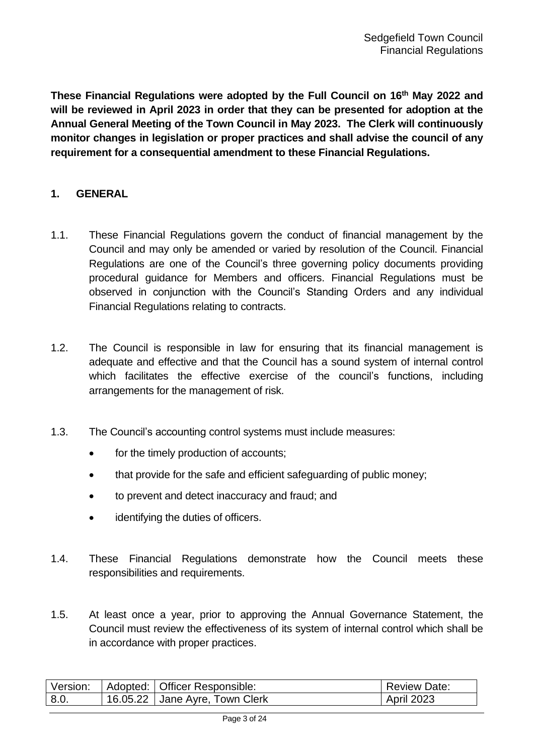**These Financial Regulations were adopted by the Full Council on 16th May 2022 and will be reviewed in April 2023 in order that they can be presented for adoption at the Annual General Meeting of the Town Council in May 2023. The Clerk will continuously monitor changes in legislation or proper practices and shall advise the council of any requirement for a consequential amendment to these Financial Regulations.**

#### <span id="page-2-0"></span>**1. GENERAL**

- 1.1. These Financial Regulations govern the conduct of financial management by the Council and may only be amended or varied by resolution of the Council. Financial Regulations are one of the Council's three governing policy documents providing procedural guidance for Members and officers. Financial Regulations must be observed in conjunction with the Council's Standing Orders and any individual Financial Regulations relating to contracts.
- 1.2. The Council is responsible in law for ensuring that its financial management is adequate and effective and that the Council has a sound system of internal control which facilitates the effective exercise of the council's functions, including arrangements for the management of risk.
- 1.3. The Council's accounting control systems must include measures:
	- for the timely production of accounts;
	- that provide for the safe and efficient safeguarding of public money;
	- to prevent and detect inaccuracy and fraud; and
	- identifying the duties of officers.
- 1.4. These Financial Regulations demonstrate how the Council meets these responsibilities and requirements.
- 1.5. At least once a year, prior to approving the Annual Governance Statement, the Council must review the effectiveness of its system of internal control which shall be in accordance with proper practices.

| Version: | Adopted: Officer Responsible:  | <b>Review Date:</b> |
|----------|--------------------------------|---------------------|
| 8.0.     | 16.05.22 Jane Ayre, Town Clerk | <b>April 2023</b>   |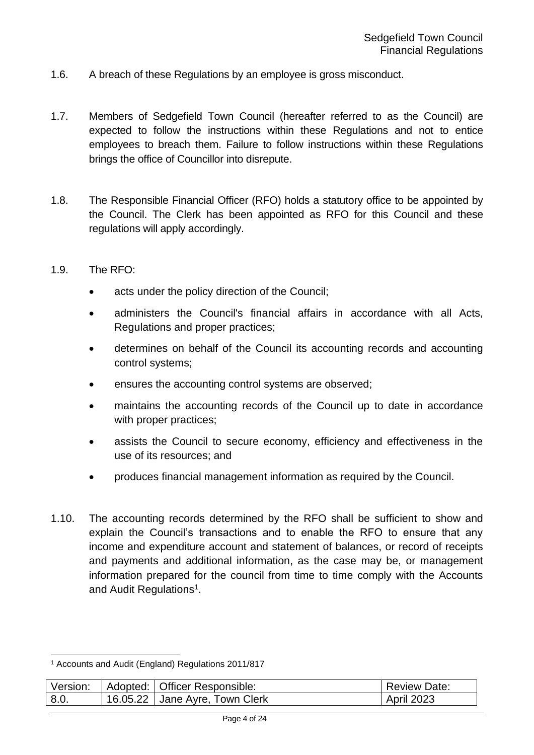- 1.6. A breach of these Regulations by an employee is gross misconduct.
- 1.7. Members of Sedgefield Town Council (hereafter referred to as the Council) are expected to follow the instructions within these Regulations and not to entice employees to breach them. Failure to follow instructions within these Regulations brings the office of Councillor into disrepute.
- 1.8. The Responsible Financial Officer (RFO) holds a statutory office to be appointed by the Council. The Clerk has been appointed as RFO for this Council and these regulations will apply accordingly.
- 1.9. The RFO:
	- acts under the policy direction of the Council;
	- administers the Council's financial affairs in accordance with all Acts, Regulations and proper practices;
	- determines on behalf of the Council its accounting records and accounting control systems;
	- ensures the accounting control systems are observed;
	- maintains the accounting records of the Council up to date in accordance with proper practices;
	- assists the Council to secure economy, efficiency and effectiveness in the use of its resources; and
	- produces financial management information as required by the Council.
- 1.10. The accounting records determined by the RFO shall be sufficient to show and explain the Council's transactions and to enable the RFO to ensure that any income and expenditure account and statement of balances, or record of receipts and payments and additional information, as the case may be, or management information prepared for the council from time to time comply with the Accounts and Audit Regulations<sup>1</sup>.

<sup>1</sup> Accounts and Audit (England) Regulations 2011/817

| Version: | Adopted: Officer Responsible:  | <b>Review Date:</b> |
|----------|--------------------------------|---------------------|
| 8.0      | 16.05.22 Jane Ayre, Town Clerk | <b>April 2023</b>   |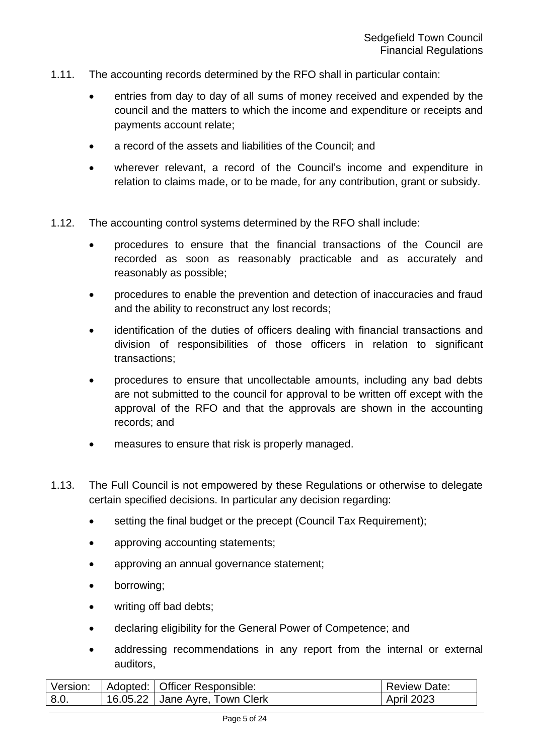- 1.11. The accounting records determined by the RFO shall in particular contain:
	- entries from day to day of all sums of money received and expended by the council and the matters to which the income and expenditure or receipts and payments account relate;
	- a record of the assets and liabilities of the Council; and
	- wherever relevant, a record of the Council's income and expenditure in relation to claims made, or to be made, for any contribution, grant or subsidy.
- 1.12. The accounting control systems determined by the RFO shall include:
	- procedures to ensure that the financial transactions of the Council are recorded as soon as reasonably practicable and as accurately and reasonably as possible;
	- procedures to enable the prevention and detection of inaccuracies and fraud and the ability to reconstruct any lost records;
	- identification of the duties of officers dealing with financial transactions and division of responsibilities of those officers in relation to significant transactions;
	- procedures to ensure that uncollectable amounts, including any bad debts are not submitted to the council for approval to be written off except with the approval of the RFO and that the approvals are shown in the accounting records; and
	- measures to ensure that risk is properly managed.
- 1.13. The Full Council is not empowered by these Regulations or otherwise to delegate certain specified decisions. In particular any decision regarding:
	- setting the final budget or the precept (Council Tax Requirement);
	- approving accounting statements;
	- approving an annual governance statement;
	- borrowing;
	- writing off bad debts;
	- declaring eligibility for the General Power of Competence; and
	- addressing recommendations in any report from the internal or external auditors,

| Version: | Adopted:   Officer Responsible: | <b>Review Date:</b> |
|----------|---------------------------------|---------------------|
| 8.0      | 16.05.22 Jane Ayre, Town Clerk  | <b>April 2023</b>   |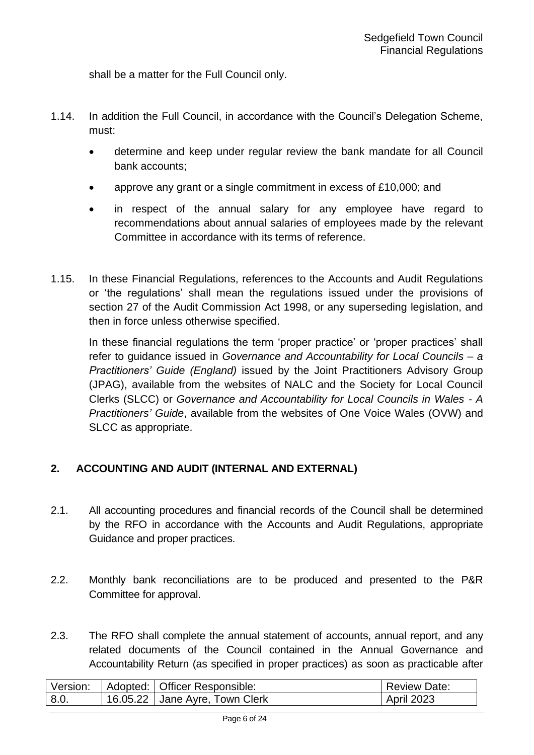shall be a matter for the Full Council only.

- 1.14. In addition the Full Council, in accordance with the Council's Delegation Scheme, must:
	- determine and keep under regular review the bank mandate for all Council bank accounts;
	- approve any grant or a single commitment in excess of £10,000; and
	- in respect of the annual salary for any employee have regard to recommendations about annual salaries of employees made by the relevant Committee in accordance with its terms of reference.
- 1.15. In these Financial Regulations, references to the Accounts and Audit Regulations or 'the regulations' shall mean the regulations issued under the provisions of section 27 of the Audit Commission Act 1998, or any superseding legislation, and then in force unless otherwise specified.

In these financial regulations the term 'proper practice' or 'proper practices' shall refer to guidance issued in *Governance and Accountability for Local Councils – a Practitioners' Guide (England)* issued by the Joint Practitioners Advisory Group (JPAG), available from the websites of NALC and the Society for Local Council Clerks (SLCC) or *Governance and Accountability for Local Councils in Wales - A Practitioners' Guide*, available from the websites of One Voice Wales (OVW) and SLCC as appropriate.

#### <span id="page-5-0"></span>**2. ACCOUNTING AND AUDIT (INTERNAL AND EXTERNAL)**

- 2.1. All accounting procedures and financial records of the Council shall be determined by the RFO in accordance with the Accounts and Audit Regulations, appropriate Guidance and proper practices.
- 2.2. Monthly bank reconciliations are to be produced and presented to the P&R Committee for approval.
- 2.3. The RFO shall complete the annual statement of accounts, annual report, and any related documents of the Council contained in the Annual Governance and Accountability Return (as specified in proper practices) as soon as practicable after

| Version: | Adopted: Officer Responsible:  | <b>Review Date:</b> |
|----------|--------------------------------|---------------------|
| 8.0.     | 16.05.22 Jane Ayre, Town Clerk | <b>April 2023</b>   |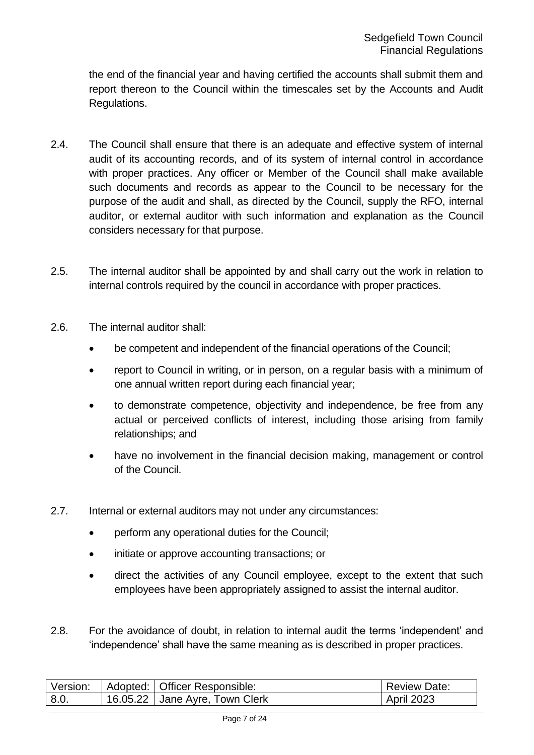the end of the financial year and having certified the accounts shall submit them and report thereon to the Council within the timescales set by the Accounts and Audit Regulations.

- 2.4. The Council shall ensure that there is an adequate and effective system of internal audit of its accounting records, and of its system of internal control in accordance with proper practices. Any officer or Member of the Council shall make available such documents and records as appear to the Council to be necessary for the purpose of the audit and shall, as directed by the Council, supply the RFO, internal auditor, or external auditor with such information and explanation as the Council considers necessary for that purpose.
- 2.5. The internal auditor shall be appointed by and shall carry out the work in relation to internal controls required by the council in accordance with proper practices.
- 2.6. The internal auditor shall:
	- be competent and independent of the financial operations of the Council;
	- report to Council in writing, or in person, on a regular basis with a minimum of one annual written report during each financial year;
	- to demonstrate competence, objectivity and independence, be free from any actual or perceived conflicts of interest, including those arising from family relationships; and
	- have no involvement in the financial decision making, management or control of the Council.
- 2.7. Internal or external auditors may not under any circumstances:
	- perform any operational duties for the Council;
	- initiate or approve accounting transactions; or
	- direct the activities of any Council employee, except to the extent that such employees have been appropriately assigned to assist the internal auditor.
- 2.8. For the avoidance of doubt, in relation to internal audit the terms 'independent' and 'independence' shall have the same meaning as is described in proper practices.

| Version: | Adopted: Officer Responsible:  | <b>Review Date:</b> |
|----------|--------------------------------|---------------------|
| 8.0.     | 16.05.22 Jane Ayre, Town Clerk | <b>April 2023</b>   |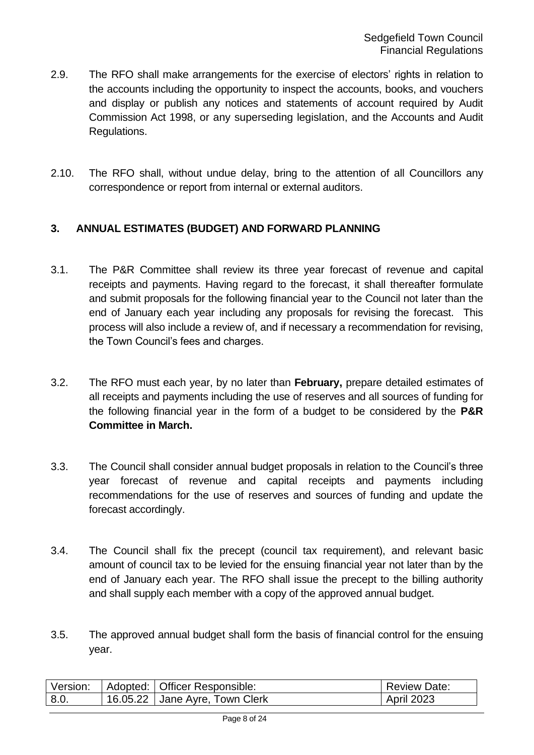- 2.9. The RFO shall make arrangements for the exercise of electors' rights in relation to the accounts including the opportunity to inspect the accounts, books, and vouchers and display or publish any notices and statements of account required by Audit Commission Act 1998, or any superseding legislation, and the Accounts and Audit Regulations.
- 2.10. The RFO shall, without undue delay, bring to the attention of all Councillors any correspondence or report from internal or external auditors.

#### <span id="page-7-0"></span>**3. ANNUAL ESTIMATES (BUDGET) AND FORWARD PLANNING**

- 3.1. The P&R Committee shall review its three year forecast of revenue and capital receipts and payments. Having regard to the forecast, it shall thereafter formulate and submit proposals for the following financial year to the Council not later than the end of January each year including any proposals for revising the forecast. This process will also include a review of, and if necessary a recommendation for revising, the Town Council's fees and charges.
- 3.2. The RFO must each year, by no later than **February,** prepare detailed estimates of all receipts and payments including the use of reserves and all sources of funding for the following financial year in the form of a budget to be considered by the **P&R Committee in March.**
- 3.3. The Council shall consider annual budget proposals in relation to the Council's three year forecast of revenue and capital receipts and payments including recommendations for the use of reserves and sources of funding and update the forecast accordingly.
- 3.4. The Council shall fix the precept (council tax requirement), and relevant basic amount of council tax to be levied for the ensuing financial year not later than by the end of January each year. The RFO shall issue the precept to the billing authority and shall supply each member with a copy of the approved annual budget.
- 3.5. The approved annual budget shall form the basis of financial control for the ensuing year.

| Version: | Adopted: | :   Officer Responsible: | <b>Review Date:</b> |
|----------|----------|--------------------------|---------------------|
| 8.0.     | 16.05.22 | Jane Ayre, Town Clerk    | <b>April 2023</b>   |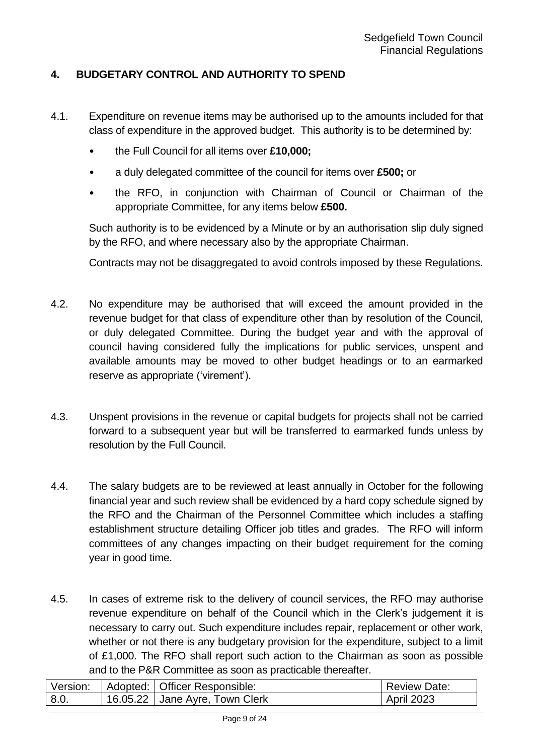#### <span id="page-8-0"></span>**4. BUDGETARY CONTROL AND AUTHORITY TO SPEND**

- 4.1. Expenditure on revenue items may be authorised up to the amounts included for that class of expenditure in the approved budget. This authority is to be determined by:
	- the Full Council for all items over **£10,000;**
	- a duly delegated committee of the council for items over **£500;** or
	- the RFO, in conjunction with Chairman of Council or Chairman of the appropriate Committee, for any items below **£500.**

Such authority is to be evidenced by a Minute or by an authorisation slip duly signed by the RFO, and where necessary also by the appropriate Chairman.

Contracts may not be disaggregated to avoid controls imposed by these Regulations.

- 4.2. No expenditure may be authorised that will exceed the amount provided in the revenue budget for that class of expenditure other than by resolution of the Council, or duly delegated Committee. During the budget year and with the approval of council having considered fully the implications for public services, unspent and available amounts may be moved to other budget headings or to an earmarked reserve as appropriate ('virement').
- 4.3. Unspent provisions in the revenue or capital budgets for projects shall not be carried forward to a subsequent year but will be transferred to earmarked funds unless by resolution by the Full Council.
- 4.4. The salary budgets are to be reviewed at least annually in October for the following financial year and such review shall be evidenced by a hard copy schedule signed by the RFO and the Chairman of the Personnel Committee which includes a staffing establishment structure detailing Officer job titles and grades. The RFO will inform committees of any changes impacting on their budget requirement for the coming year in good time.
- 4.5. In cases of extreme risk to the delivery of council services, the RFO may authorise revenue expenditure on behalf of the Council which in the Clerk's judgement it is necessary to carry out. Such expenditure includes repair, replacement or other work, whether or not there is any budgetary provision for the expenditure, subject to a limit of £1,000. The RFO shall report such action to the Chairman as soon as possible and to the P&R Committee as soon as practicable thereafter.

| Version: | Adopted:   Officer Responsible: | <b>Review Date:</b> |
|----------|---------------------------------|---------------------|
| 8.0      | 16.05.22 Jane Ayre, Town Clerk  | <b>April 2023</b>   |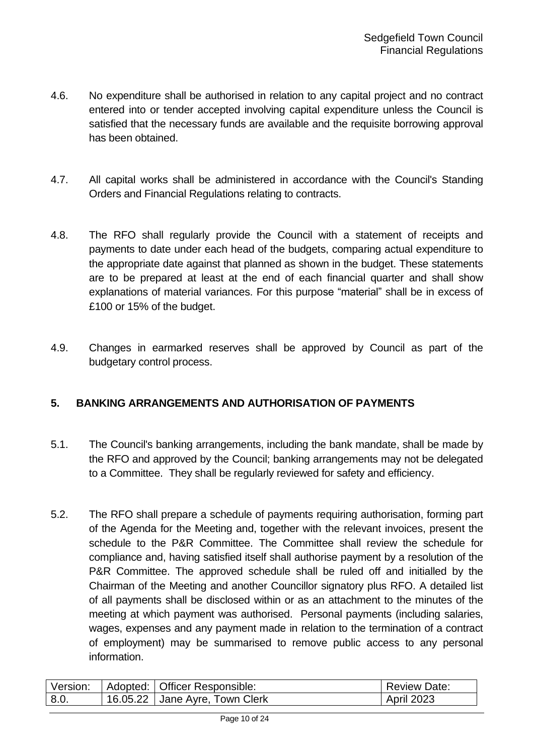- 4.6. No expenditure shall be authorised in relation to any capital project and no contract entered into or tender accepted involving capital expenditure unless the Council is satisfied that the necessary funds are available and the requisite borrowing approval has been obtained.
- 4.7. All capital works shall be administered in accordance with the Council's Standing Orders and Financial Regulations relating to contracts.
- 4.8. The RFO shall regularly provide the Council with a statement of receipts and payments to date under each head of the budgets, comparing actual expenditure to the appropriate date against that planned as shown in the budget. These statements are to be prepared at least at the end of each financial quarter and shall show explanations of material variances. For this purpose "material" shall be in excess of £100 or 15% of the budget.
- 4.9. Changes in earmarked reserves shall be approved by Council as part of the budgetary control process.

#### <span id="page-9-0"></span>**5. BANKING ARRANGEMENTS AND AUTHORISATION OF PAYMENTS**

- 5.1. The Council's banking arrangements, including the bank mandate, shall be made by the RFO and approved by the Council; banking arrangements may not be delegated to a Committee. They shall be regularly reviewed for safety and efficiency.
- 5.2. The RFO shall prepare a schedule of payments requiring authorisation, forming part of the Agenda for the Meeting and, together with the relevant invoices, present the schedule to the P&R Committee. The Committee shall review the schedule for compliance and, having satisfied itself shall authorise payment by a resolution of the P&R Committee. The approved schedule shall be ruled off and initialled by the Chairman of the Meeting and another Councillor signatory plus RFO. A detailed list of all payments shall be disclosed within or as an attachment to the minutes of the meeting at which payment was authorised. Personal payments (including salaries, wages, expenses and any payment made in relation to the termination of a contract of employment) may be summarised to remove public access to any personal information.

| Version: | Adopted:   Officer Responsible: | <b>Review Date:</b> |
|----------|---------------------------------|---------------------|
| 8.0      | 16.05.22 Jane Ayre, Town Clerk  | <b>April 2023</b>   |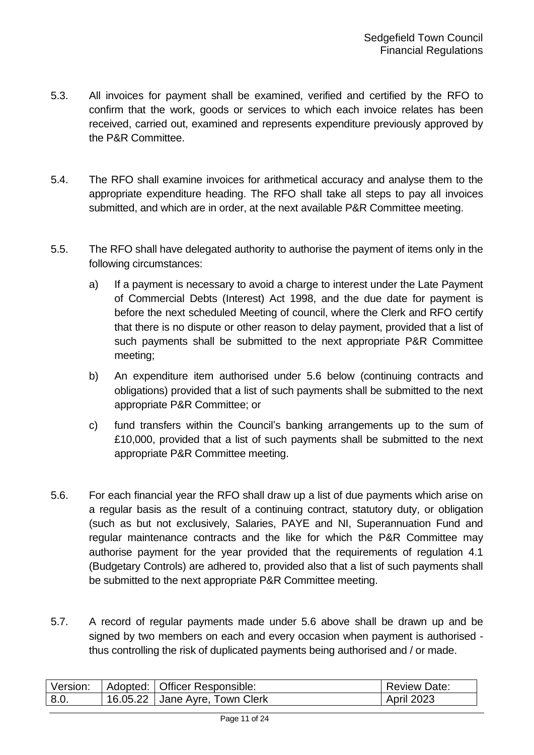- 5.3. All invoices for payment shall be examined, verified and certified by the RFO to confirm that the work, goods or services to which each invoice relates has been received, carried out, examined and represents expenditure previously approved by the P&R Committee.
- 5.4. The RFO shall examine invoices for arithmetical accuracy and analyse them to the appropriate expenditure heading. The RFO shall take all steps to pay all invoices submitted, and which are in order, at the next available P&R Committee meeting.
- 5.5. The RFO shall have delegated authority to authorise the payment of items only in the following circumstances:
	- a) If a payment is necessary to avoid a charge to interest under the Late Payment of Commercial Debts (Interest) Act 1998, and the due date for payment is before the next scheduled Meeting of council, where the Clerk and RFO certify that there is no dispute or other reason to delay payment, provided that a list of such payments shall be submitted to the next appropriate P&R Committee meeting;
	- b) An expenditure item authorised under 5.6 below (continuing contracts and obligations) provided that a list of such payments shall be submitted to the next appropriate P&R Committee; or
	- c) fund transfers within the Council's banking arrangements up to the sum of £10,000, provided that a list of such payments shall be submitted to the next appropriate P&R Committee meeting.
- 5.6. For each financial year the RFO shall draw up a list of due payments which arise on a regular basis as the result of a continuing contract, statutory duty, or obligation (such as but not exclusively, Salaries, PAYE and NI, Superannuation Fund and regular maintenance contracts and the like for which the P&R Committee may authorise payment for the year provided that the requirements of regulation 4.1 (Budgetary Controls) are adhered to, provided also that a list of such payments shall be submitted to the next appropriate P&R Committee meeting.
- 5.7. A record of regular payments made under 5.6 above shall be drawn up and be signed by two members on each and every occasion when payment is authorised thus controlling the risk of duplicated payments being authorised and / or made.

| Version: | Adopted:   Officer Responsible: | <b>Review Date:</b> |
|----------|---------------------------------|---------------------|
| 8.0      | 16.05.22 Jane Ayre, Town Clerk  | <b>April 2023</b>   |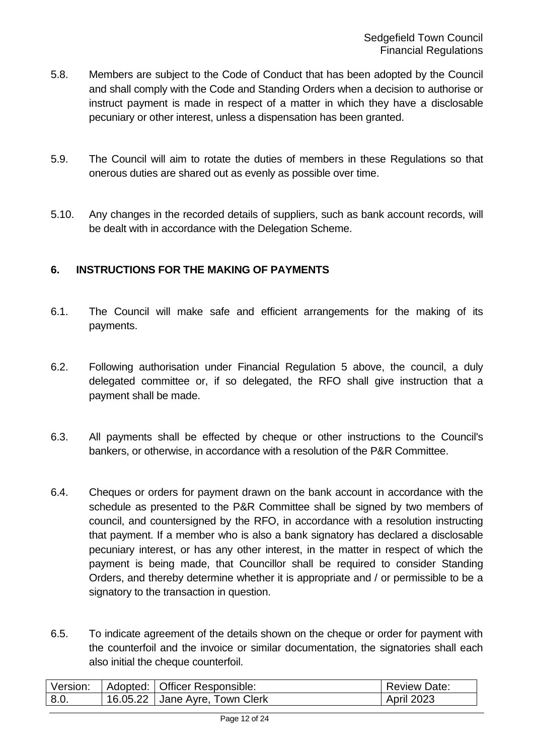- 5.8. Members are subject to the Code of Conduct that has been adopted by the Council and shall comply with the Code and Standing Orders when a decision to authorise or instruct payment is made in respect of a matter in which they have a disclosable pecuniary or other interest, unless a dispensation has been granted.
- 5.9. The Council will aim to rotate the duties of members in these Regulations so that onerous duties are shared out as evenly as possible over time.
- 5.10. Any changes in the recorded details of suppliers, such as bank account records, will be dealt with in accordance with the Delegation Scheme.

#### <span id="page-11-0"></span>**6. INSTRUCTIONS FOR THE MAKING OF PAYMENTS**

- 6.1. The Council will make safe and efficient arrangements for the making of its payments.
- 6.2. Following authorisation under Financial Regulation 5 above, the council, a duly delegated committee or, if so delegated, the RFO shall give instruction that a payment shall be made.
- 6.3. All payments shall be effected by cheque or other instructions to the Council's bankers, or otherwise, in accordance with a resolution of the P&R Committee.
- 6.4. Cheques or orders for payment drawn on the bank account in accordance with the schedule as presented to the P&R Committee shall be signed by two members of council, and countersigned by the RFO, in accordance with a resolution instructing that payment. If a member who is also a bank signatory has declared a disclosable pecuniary interest, or has any other interest, in the matter in respect of which the payment is being made, that Councillor shall be required to consider Standing Orders, and thereby determine whether it is appropriate and / or permissible to be a signatory to the transaction in question.
- 6.5. To indicate agreement of the details shown on the cheque or order for payment with the counterfoil and the invoice or similar documentation, the signatories shall each also initial the cheque counterfoil.

| Version: | Adopted:   Officer Responsible: | <b>Review Date:</b> |
|----------|---------------------------------|---------------------|
| 8.0.     | 16.05.22 Jane Ayre, Town Clerk  | <b>April 2023</b>   |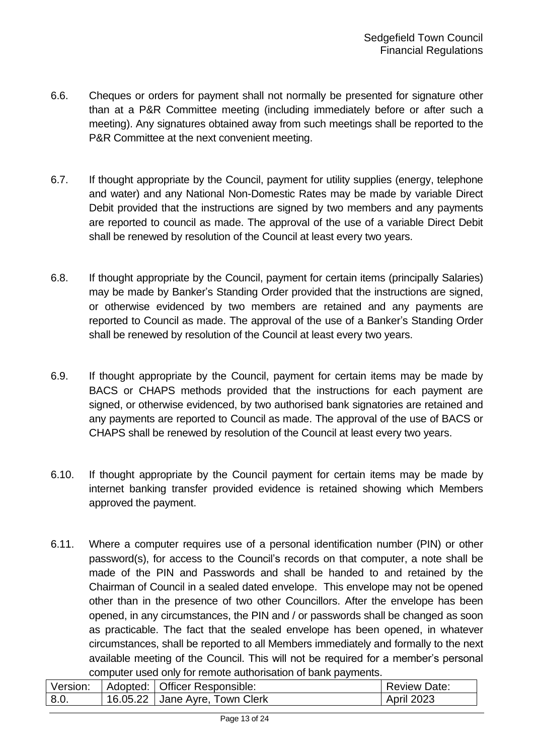- 6.6. Cheques or orders for payment shall not normally be presented for signature other than at a P&R Committee meeting (including immediately before or after such a meeting). Any signatures obtained away from such meetings shall be reported to the P&R Committee at the next convenient meeting.
- 6.7. If thought appropriate by the Council, payment for utility supplies (energy, telephone and water) and any National Non-Domestic Rates may be made by variable Direct Debit provided that the instructions are signed by two members and any payments are reported to council as made. The approval of the use of a variable Direct Debit shall be renewed by resolution of the Council at least every two years.
- 6.8. If thought appropriate by the Council, payment for certain items (principally Salaries) may be made by Banker's Standing Order provided that the instructions are signed, or otherwise evidenced by two members are retained and any payments are reported to Council as made. The approval of the use of a Banker's Standing Order shall be renewed by resolution of the Council at least every two years.
- 6.9. If thought appropriate by the Council, payment for certain items may be made by BACS or CHAPS methods provided that the instructions for each payment are signed, or otherwise evidenced, by two authorised bank signatories are retained and any payments are reported to Council as made. The approval of the use of BACS or CHAPS shall be renewed by resolution of the Council at least every two years.
- 6.10. If thought appropriate by the Council payment for certain items may be made by internet banking transfer provided evidence is retained showing which Members approved the payment.
- 6.11. Where a computer requires use of a personal identification number (PIN) or other password(s), for access to the Council's records on that computer, a note shall be made of the PIN and Passwords and shall be handed to and retained by the Chairman of Council in a sealed dated envelope. This envelope may not be opened other than in the presence of two other Councillors. After the envelope has been opened, in any circumstances, the PIN and / or passwords shall be changed as soon as practicable. The fact that the sealed envelope has been opened, in whatever circumstances, shall be reported to all Members immediately and formally to the next available meeting of the Council. This will not be required for a member's personal computer used only for remote authorisation of bank payments.

| Version: | Adopted:   Officer Responsible: | <b>Review Date:</b> |
|----------|---------------------------------|---------------------|
| 8.0.     | 16.05.22 Jane Ayre, Town Clerk  | <b>April 2023</b>   |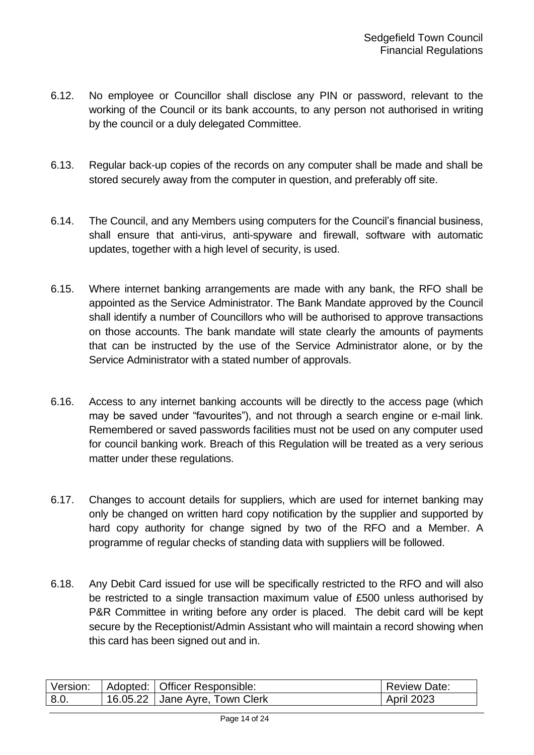- 6.12. No employee or Councillor shall disclose any PIN or password, relevant to the working of the Council or its bank accounts, to any person not authorised in writing by the council or a duly delegated Committee.
- 6.13. Regular back-up copies of the records on any computer shall be made and shall be stored securely away from the computer in question, and preferably off site.
- 6.14. The Council, and any Members using computers for the Council's financial business, shall ensure that anti-virus, anti-spyware and firewall, software with automatic updates, together with a high level of security, is used.
- 6.15. Where internet banking arrangements are made with any bank, the RFO shall be appointed as the Service Administrator. The Bank Mandate approved by the Council shall identify a number of Councillors who will be authorised to approve transactions on those accounts. The bank mandate will state clearly the amounts of payments that can be instructed by the use of the Service Administrator alone, or by the Service Administrator with a stated number of approvals.
- 6.16. Access to any internet banking accounts will be directly to the access page (which may be saved under "favourites"), and not through a search engine or e-mail link. Remembered or saved passwords facilities must not be used on any computer used for council banking work. Breach of this Regulation will be treated as a very serious matter under these regulations.
- 6.17. Changes to account details for suppliers, which are used for internet banking may only be changed on written hard copy notification by the supplier and supported by hard copy authority for change signed by two of the RFO and a Member. A programme of regular checks of standing data with suppliers will be followed.
- 6.18. Any Debit Card issued for use will be specifically restricted to the RFO and will also be restricted to a single transaction maximum value of £500 unless authorised by P&R Committee in writing before any order is placed. The debit card will be kept secure by the Receptionist/Admin Assistant who will maintain a record showing when this card has been signed out and in.

| Version: |          | Adopted:   Officer Responsible: | <b>Review Date:</b> |
|----------|----------|---------------------------------|---------------------|
| 8.0.     | 16.05.22 | Jane Ayre, Town Clerk           | <b>April 2023</b>   |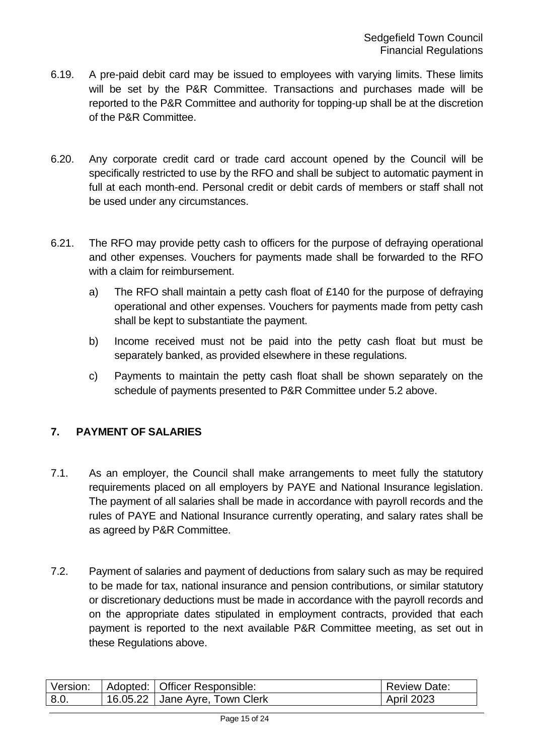- 6.19. A pre-paid debit card may be issued to employees with varying limits. These limits will be set by the P&R Committee. Transactions and purchases made will be reported to the P&R Committee and authority for topping-up shall be at the discretion of the P&R Committee.
- 6.20. Any corporate credit card or trade card account opened by the Council will be specifically restricted to use by the RFO and shall be subject to automatic payment in full at each month-end. Personal credit or debit cards of members or staff shall not be used under any circumstances.
- 6.21. The RFO may provide petty cash to officers for the purpose of defraying operational and other expenses. Vouchers for payments made shall be forwarded to the RFO with a claim for reimbursement.
	- a) The RFO shall maintain a petty cash float of £140 for the purpose of defraying operational and other expenses. Vouchers for payments made from petty cash shall be kept to substantiate the payment.
	- b) Income received must not be paid into the petty cash float but must be separately banked, as provided elsewhere in these regulations.
	- c) Payments to maintain the petty cash float shall be shown separately on the schedule of payments presented to P&R Committee under 5.2 above.

#### <span id="page-14-0"></span>**7. PAYMENT OF SALARIES**

- 7.1. As an employer, the Council shall make arrangements to meet fully the statutory requirements placed on all employers by PAYE and National Insurance legislation. The payment of all salaries shall be made in accordance with payroll records and the rules of PAYE and National Insurance currently operating, and salary rates shall be as agreed by P&R Committee.
- 7.2. Payment of salaries and payment of deductions from salary such as may be required to be made for tax, national insurance and pension contributions, or similar statutory or discretionary deductions must be made in accordance with the payroll records and on the appropriate dates stipulated in employment contracts, provided that each payment is reported to the next available P&R Committee meeting, as set out in these Regulations above.

| Version: | Adopted: Officer Responsible:  | <b>Review Date:</b> |
|----------|--------------------------------|---------------------|
| 8.0      | 16.05.22 Jane Ayre, Town Clerk | <b>April 2023</b>   |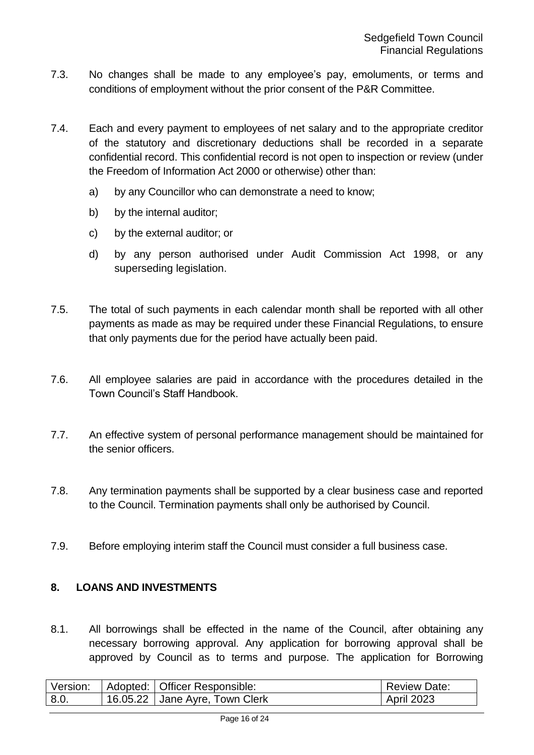- 7.3. No changes shall be made to any employee's pay, emoluments, or terms and conditions of employment without the prior consent of the P&R Committee.
- 7.4. Each and every payment to employees of net salary and to the appropriate creditor of the statutory and discretionary deductions shall be recorded in a separate confidential record. This confidential record is not open to inspection or review (under the Freedom of Information Act 2000 or otherwise) other than:
	- a) by any Councillor who can demonstrate a need to know;
	- b) by the internal auditor;
	- c) by the external auditor; or
	- d) by any person authorised under Audit Commission Act 1998, or any superseding legislation.
- 7.5. The total of such payments in each calendar month shall be reported with all other payments as made as may be required under these Financial Regulations, to ensure that only payments due for the period have actually been paid.
- 7.6. All employee salaries are paid in accordance with the procedures detailed in the Town Council's Staff Handbook.
- 7.7. An effective system of personal performance management should be maintained for the senior officers.
- 7.8. Any termination payments shall be supported by a clear business case and reported to the Council. Termination payments shall only be authorised by Council.
- 7.9. Before employing interim staff the Council must consider a full business case.

#### <span id="page-15-0"></span>**8. LOANS AND INVESTMENTS**

8.1. All borrowings shall be effected in the name of the Council, after obtaining any necessary borrowing approval. Any application for borrowing approval shall be approved by Council as to terms and purpose. The application for Borrowing

| Version: | Adopted:   Officer Responsible: | <b>Review Date:</b> |
|----------|---------------------------------|---------------------|
| 8.0.     | 16.05.22 Jane Ayre, Town Clerk  | <b>April 2023</b>   |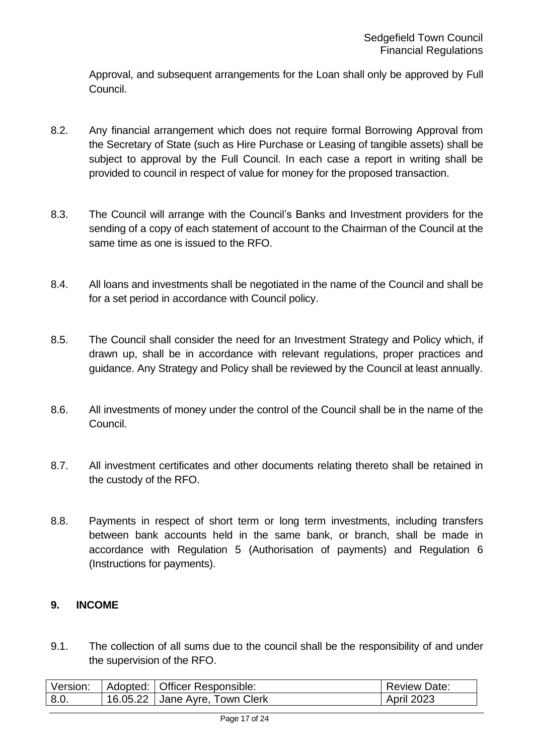Approval, and subsequent arrangements for the Loan shall only be approved by Full Council.

- 8.2. Any financial arrangement which does not require formal Borrowing Approval from the Secretary of State (such as Hire Purchase or Leasing of tangible assets) shall be subject to approval by the Full Council. In each case a report in writing shall be provided to council in respect of value for money for the proposed transaction.
- 8.3. The Council will arrange with the Council's Banks and Investment providers for the sending of a copy of each statement of account to the Chairman of the Council at the same time as one is issued to the RFO.
- 8.4. All loans and investments shall be negotiated in the name of the Council and shall be for a set period in accordance with Council policy.
- 8.5. The Council shall consider the need for an Investment Strategy and Policy which, if drawn up, shall be in accordance with relevant regulations, proper practices and guidance. Any Strategy and Policy shall be reviewed by the Council at least annually.
- 8.6. All investments of money under the control of the Council shall be in the name of the Council.
- 8.7. All investment certificates and other documents relating thereto shall be retained in the custody of the RFO.
- 8.8. Payments in respect of short term or long term investments, including transfers between bank accounts held in the same bank, or branch, shall be made in accordance with Regulation 5 (Authorisation of payments) and Regulation 6 (Instructions for payments).

#### <span id="page-16-0"></span>**9. INCOME**

9.1. The collection of all sums due to the council shall be the responsibility of and under the supervision of the RFO.

| Version: | Adopted: Officer Responsible:  | <b>Review Date:</b> |
|----------|--------------------------------|---------------------|
| 8.0.     | 16.05.22 Jane Ayre, Town Clerk | <b>April 2023</b>   |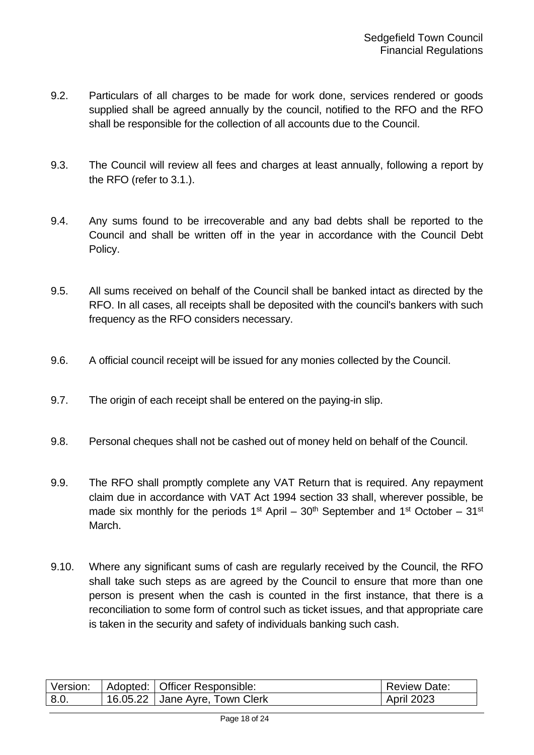- 9.2. Particulars of all charges to be made for work done, services rendered or goods supplied shall be agreed annually by the council, notified to the RFO and the RFO shall be responsible for the collection of all accounts due to the Council.
- 9.3. The Council will review all fees and charges at least annually, following a report by the RFO (refer to 3.1.).
- 9.4. Any sums found to be irrecoverable and any bad debts shall be reported to the Council and shall be written off in the year in accordance with the Council Debt Policy.
- 9.5. All sums received on behalf of the Council shall be banked intact as directed by the RFO. In all cases, all receipts shall be deposited with the council's bankers with such frequency as the RFO considers necessary.
- 9.6. A official council receipt will be issued for any monies collected by the Council.
- 9.7. The origin of each receipt shall be entered on the paying-in slip.
- 9.8. Personal cheques shall not be cashed out of money held on behalf of the Council.
- 9.9. The RFO shall promptly complete any VAT Return that is required. Any repayment claim due in accordance with VAT Act 1994 section 33 shall, wherever possible, be made six monthly for the periods  $1<sup>st</sup>$  April –  $30<sup>th</sup>$  September and  $1<sup>st</sup>$  October –  $31<sup>st</sup>$ March.
- 9.10. Where any significant sums of cash are regularly received by the Council, the RFO shall take such steps as are agreed by the Council to ensure that more than one person is present when the cash is counted in the first instance, that there is a reconciliation to some form of control such as ticket issues, and that appropriate care is taken in the security and safety of individuals banking such cash.

| Version: | Adopted:   Officer Responsible: | <b>Review Date:</b> |
|----------|---------------------------------|---------------------|
| 8.0.     | 16.05.22 Jane Ayre, Town Clerk  | <b>April 2023</b>   |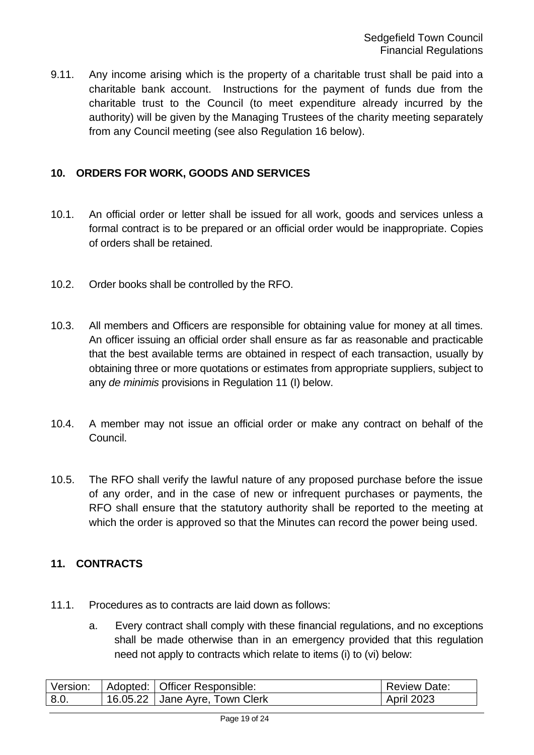9.11. Any income arising which is the property of a charitable trust shall be paid into a charitable bank account. Instructions for the payment of funds due from the charitable trust to the Council (to meet expenditure already incurred by the authority) will be given by the Managing Trustees of the charity meeting separately from any Council meeting (see also Regulation 16 below).

#### <span id="page-18-0"></span>**10. ORDERS FOR WORK, GOODS AND SERVICES**

- 10.1. An official order or letter shall be issued for all work, goods and services unless a formal contract is to be prepared or an official order would be inappropriate. Copies of orders shall be retained.
- 10.2. Order books shall be controlled by the RFO.
- 10.3. All members and Officers are responsible for obtaining value for money at all times. An officer issuing an official order shall ensure as far as reasonable and practicable that the best available terms are obtained in respect of each transaction, usually by obtaining three or more quotations or estimates from appropriate suppliers, subject to any *de minimis* provisions in Regulation 11 (I) below.
- 10.4. A member may not issue an official order or make any contract on behalf of the Council.
- 10.5. The RFO shall verify the lawful nature of any proposed purchase before the issue of any order, and in the case of new or infrequent purchases or payments, the RFO shall ensure that the statutory authority shall be reported to the meeting at which the order is approved so that the Minutes can record the power being used.

#### <span id="page-18-1"></span>**11. CONTRACTS**

- 11.1. Procedures as to contracts are laid down as follows:
	- a. Every contract shall comply with these financial regulations, and no exceptions shall be made otherwise than in an emergency provided that this regulation need not apply to contracts which relate to items (i) to (vi) below:

| Version: | Adopted:   Officer Responsible: | <b>Review Date:</b> |
|----------|---------------------------------|---------------------|
| 8.0.     | 16.05.22 Jane Ayre, Town Clerk  | <b>April 2023</b>   |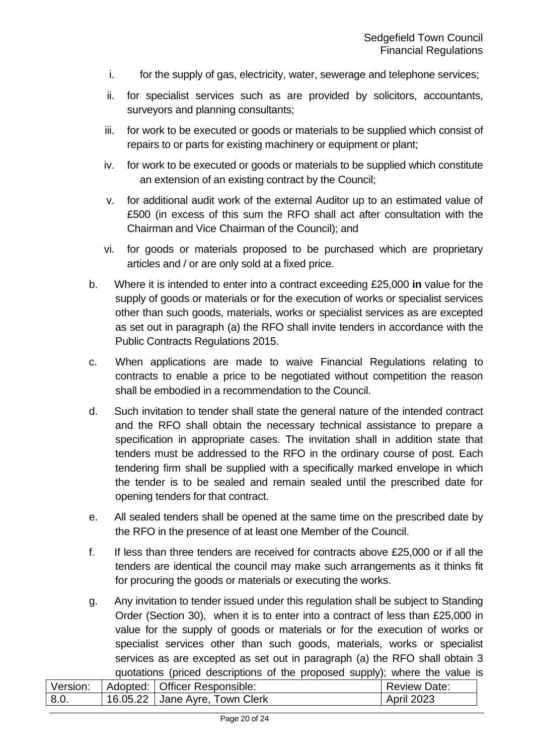- i. for the supply of gas, electricity, water, sewerage and telephone services;
- ii. for specialist services such as are provided by solicitors, accountants, surveyors and planning consultants;
- iii. for work to be executed or goods or materials to be supplied which consist of repairs to or parts for existing machinery or equipment or plant;
- iv. for work to be executed or goods or materials to be supplied which constitute an extension of an existing contract by the Council;
- v. for additional audit work of the external Auditor up to an estimated value of £500 (in excess of this sum the RFO shall act after consultation with the Chairman and Vice Chairman of the Council); and
- vi. for goods or materials proposed to be purchased which are proprietary articles and / or are only sold at a fixed price.
- b. Where it is intended to enter into a contract exceeding £25,000 **in** value for the supply of goods or materials or for the execution of works or specialist services other than such goods, materials, works or specialist services as are excepted as set out in paragraph (a) the RFO shall invite tenders in accordance with the Public Contracts Regulations 2015.
- c. When applications are made to waive Financial Regulations relating to contracts to enable a price to be negotiated without competition the reason shall be embodied in a recommendation to the Council.
- d. Such invitation to tender shall state the general nature of the intended contract and the RFO shall obtain the necessary technical assistance to prepare a specification in appropriate cases. The invitation shall in addition state that tenders must be addressed to the RFO in the ordinary course of post. Each tendering firm shall be supplied with a specifically marked envelope in which the tender is to be sealed and remain sealed until the prescribed date for opening tenders for that contract.
- e. All sealed tenders shall be opened at the same time on the prescribed date by the RFO in the presence of at least one Member of the Council.
- f. If less than three tenders are received for contracts above £25,000 or if all the tenders are identical the council may make such arrangements as it thinks fit for procuring the goods or materials or executing the works.
- g. Any invitation to tender issued under this regulation shall be subject to Standing Order (Section 30), when it is to enter into a contract of less than £25,000 in value for the supply of goods or materials or for the execution of works or specialist services other than such goods, materials, works or specialist services as are excepted as set out in paragraph (a) the RFO shall obtain 3 quotations (priced descriptions of the proposed supply); where the value is

| Version: | Adopted: Officer Responsible:     | <b>Review Date:</b> |
|----------|-----------------------------------|---------------------|
| 8.0.     | $+16.05.22$ Jane Ayre, Town Clerk | <b>April 2023</b>   |
|          |                                   |                     |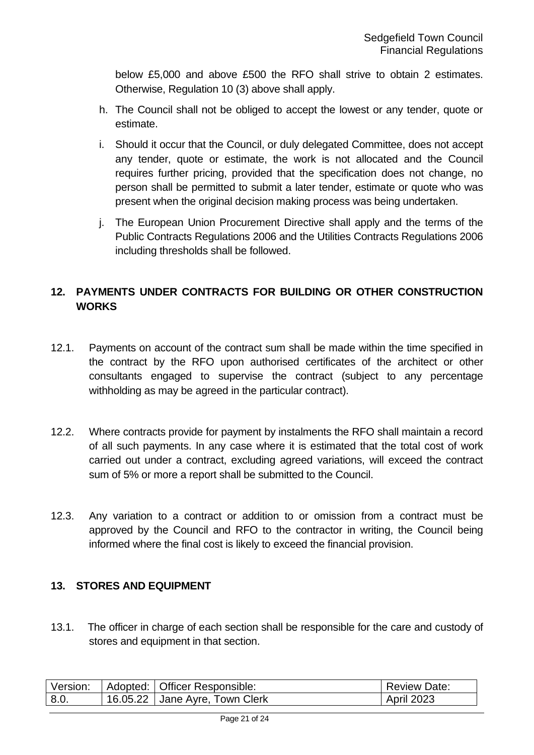below £5,000 and above £500 the RFO shall strive to obtain 2 estimates. Otherwise, Regulation 10 (3) above shall apply.

- h. The Council shall not be obliged to accept the lowest or any tender, quote or estimate.
- i. Should it occur that the Council, or duly delegated Committee, does not accept any tender, quote or estimate, the work is not allocated and the Council requires further pricing, provided that the specification does not change, no person shall be permitted to submit a later tender, estimate or quote who was present when the original decision making process was being undertaken.
- j. The European Union Procurement Directive shall apply and the terms of the Public Contracts Regulations 2006 and the Utilities Contracts Regulations 2006 including thresholds shall be followed.

#### <span id="page-20-0"></span>**12. PAYMENTS UNDER CONTRACTS FOR BUILDING OR OTHER CONSTRUCTION WORKS**

- 12.1. Payments on account of the contract sum shall be made within the time specified in the contract by the RFO upon authorised certificates of the architect or other consultants engaged to supervise the contract (subject to any percentage withholding as may be agreed in the particular contract).
- 12.2. Where contracts provide for payment by instalments the RFO shall maintain a record of all such payments. In any case where it is estimated that the total cost of work carried out under a contract, excluding agreed variations, will exceed the contract sum of 5% or more a report shall be submitted to the Council.
- 12.3. Any variation to a contract or addition to or omission from a contract must be approved by the Council and RFO to the contractor in writing, the Council being informed where the final cost is likely to exceed the financial provision.

#### <span id="page-20-1"></span>**13. STORES AND EQUIPMENT**

13.1. The officer in charge of each section shall be responsible for the care and custody of stores and equipment in that section.

| Version: |          | Adopted:   Officer Responsible: | <b>Review Date:</b> |
|----------|----------|---------------------------------|---------------------|
| 8.0.     | 16.05.22 | Jane Ayre, Town Clerk           | 2023<br>April       |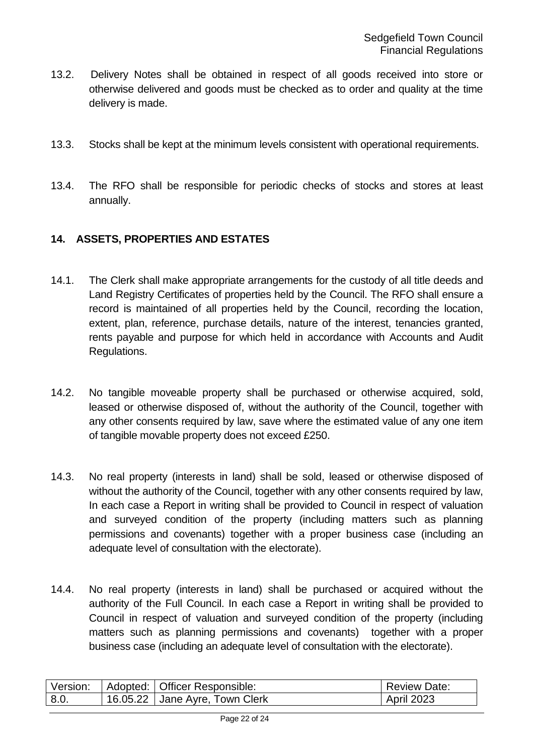- 13.2. Delivery Notes shall be obtained in respect of all goods received into store or otherwise delivered and goods must be checked as to order and quality at the time delivery is made.
- 13.3. Stocks shall be kept at the minimum levels consistent with operational requirements.
- 13.4. The RFO shall be responsible for periodic checks of stocks and stores at least annually.

#### <span id="page-21-0"></span>**14. ASSETS, PROPERTIES AND ESTATES**

- 14.1. The Clerk shall make appropriate arrangements for the custody of all title deeds and Land Registry Certificates of properties held by the Council. The RFO shall ensure a record is maintained of all properties held by the Council, recording the location, extent, plan, reference, purchase details, nature of the interest, tenancies granted, rents payable and purpose for which held in accordance with Accounts and Audit Regulations.
- 14.2. No tangible moveable property shall be purchased or otherwise acquired, sold, leased or otherwise disposed of, without the authority of the Council, together with any other consents required by law, save where the estimated value of any one item of tangible movable property does not exceed £250.
- 14.3. No real property (interests in land) shall be sold, leased or otherwise disposed of without the authority of the Council, together with any other consents required by law, In each case a Report in writing shall be provided to Council in respect of valuation and surveyed condition of the property (including matters such as planning permissions and covenants) together with a proper business case (including an adequate level of consultation with the electorate).
- 14.4. No real property (interests in land) shall be purchased or acquired without the authority of the Full Council. In each case a Report in writing shall be provided to Council in respect of valuation and surveyed condition of the property (including matters such as planning permissions and covenants) together with a proper business case (including an adequate level of consultation with the electorate).

| Version: | Adopted: Officer Responsible:    | <b>Review Date:</b> |
|----------|----------------------------------|---------------------|
| 8.0      | $16.05.22$ Jane Ayre, Town Clerk | <b>April 2023</b>   |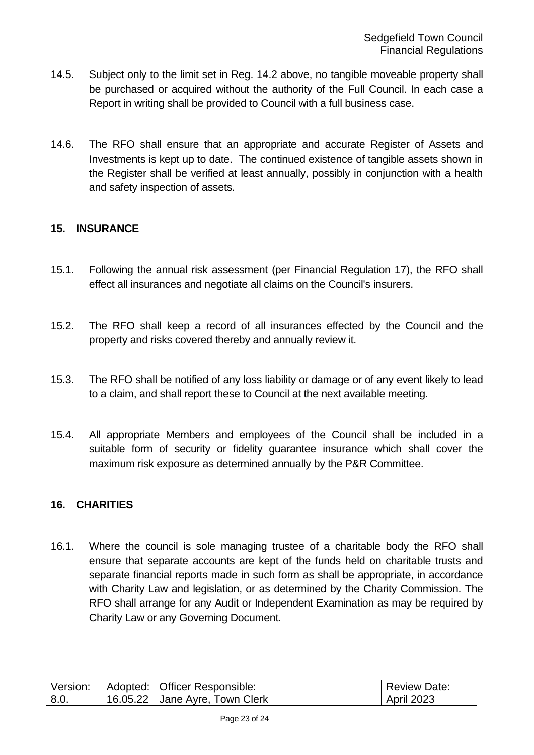- 14.5. Subject only to the limit set in Reg. 14.2 above, no tangible moveable property shall be purchased or acquired without the authority of the Full Council. In each case a Report in writing shall be provided to Council with a full business case.
- 14.6. The RFO shall ensure that an appropriate and accurate Register of Assets and Investments is kept up to date. The continued existence of tangible assets shown in the Register shall be verified at least annually, possibly in conjunction with a health and safety inspection of assets.

#### <span id="page-22-0"></span>**15. INSURANCE**

- 15.1. Following the annual risk assessment (per Financial Regulation 17), the RFO shall effect all insurances and negotiate all claims on the Council's insurers.
- 15.2. The RFO shall keep a record of all insurances effected by the Council and the property and risks covered thereby and annually review it.
- 15.3. The RFO shall be notified of any loss liability or damage or of any event likely to lead to a claim, and shall report these to Council at the next available meeting.
- 15.4. All appropriate Members and employees of the Council shall be included in a suitable form of security or fidelity guarantee insurance which shall cover the maximum risk exposure as determined annually by the P&R Committee.

#### <span id="page-22-1"></span>**16. CHARITIES**

16.1. Where the council is sole managing trustee of a charitable body the RFO shall ensure that separate accounts are kept of the funds held on charitable trusts and separate financial reports made in such form as shall be appropriate, in accordance with Charity Law and legislation, or as determined by the Charity Commission. The RFO shall arrange for any Audit or Independent Examination as may be required by Charity Law or any Governing Document.

| Version: |            | Adopted:   Officer Responsible: | <b>Review Date:</b> |
|----------|------------|---------------------------------|---------------------|
| 8.0.     | $16.05.22$ | Jane Ayre, Town Clerk           | <b>April 2023</b>   |